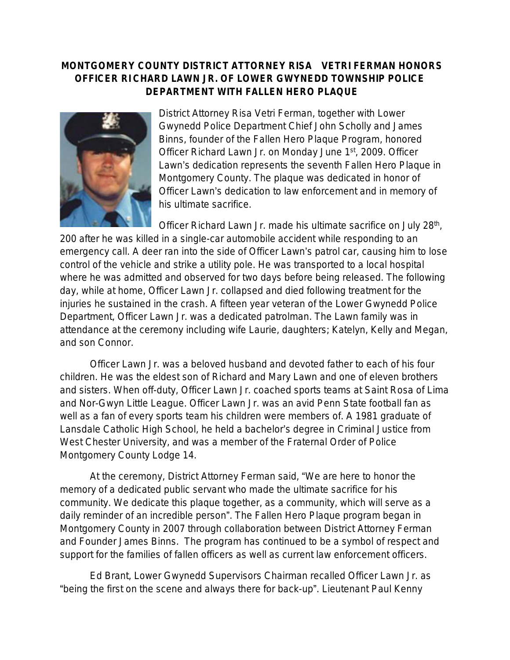## **MONTGOMERY COUNTY DISTRICT ATTORNEY RISA VETRI FERMAN HONORS OFFICER RI CHARD LAWN JR. OF LOWER GWYNEDD TOWNSHIP POLICE DEPARTMENT WITH FALLEN HERO PLAQUE**



District Attorney Risa Vetri Ferman, together with Lower Gwynedd Police Department Chief John Scholly and James Binns, founder of the Fallen Hero Plaque Program, honored Officer Richard Lawn Jr. on Monday June 1st, 2009. Officer Lawn's dedication represents the seventh Fallen Hero Plaque in Montgomery County. The plaque was dedicated in honor of Officer Lawn's dedication to law enforcement and in memory of his ultimate sacrifice.

Officer Richard Lawn Jr. made his ultimate sacrifice on July 28<sup>th</sup>, 200 after he was killed in a single-car automobile accident while responding to an emergency call. A deer ran into the side of Officer Lawn's patrol car, causing him to lose control of the vehicle and strike a utility pole. He was transported to a local hospital where he was admitted and observed for two days before being released. The following day, while at home, Officer Lawn Jr. collapsed and died following treatment for the injuries he sustained in the crash. A fifteen year veteran of the Lower Gwynedd Police Department, Officer Lawn Jr. was a dedicated patrolman. The Lawn family was in attendance at the ceremony including wife Laurie, daughters; Katelyn, Kelly and Megan, and son Connor.

Officer Lawn Jr. was a beloved husband and devoted father to each of his four children. He was the eldest son of Richard and Mary Lawn and one of eleven brothers and sisters. When off-duty, Officer Lawn Jr. coached sports teams at Saint Rosa of Lima and Nor-Gwyn Little League. Officer Lawn Jr. was an avid Penn State football fan as well as a fan of every sports team his children were members of. A 1981 graduate of Lansdale Catholic High School, he held a bachelor's degree in Criminal Justice from West Chester University, and was a member of the Fraternal Order of Police Montgomery County Lodge 14.

At the ceremony, District Attorney Ferman said, "We are here to honor the memory of a dedicated public servant who made the ultimate sacrifice for his community. We dedicate this plaque together, as a community, which will serve as a daily reminder of an incredible person". The Fallen Hero Plaque program began in Montgomery County in 2007 through collaboration between District Attorney Ferman and Founder James Binns. The program has continued to be a symbol of respect and support for the families of fallen officers as well as current law enforcement officers.

Ed Brant, Lower Gwynedd Supervisors Chairman recalled Officer Lawn Jr. as "being the first on the scene and always there for back-up". Lieutenant Paul Kenny